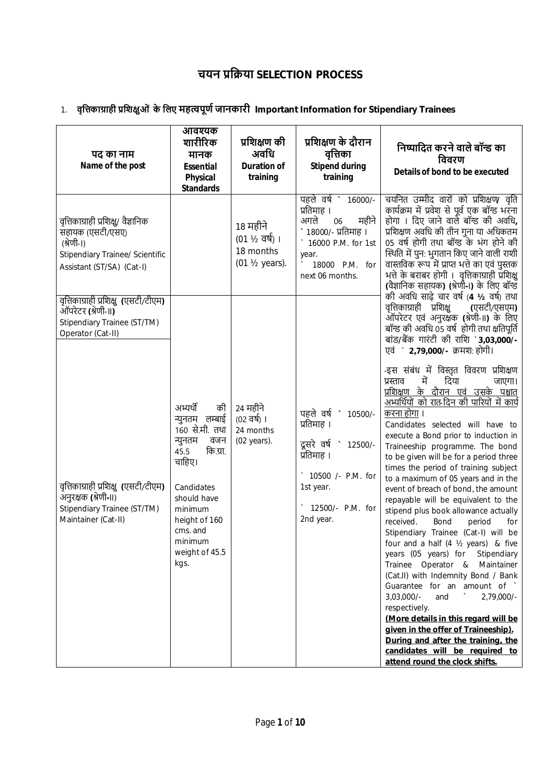# **चयन ŮिŢया SELECTION PROCESS**

1. **वृिȅकाŤाही ŮिशƗुओं के िलए महȕपूणŊ जानकारी Important Information for Stipendiary Trainees**

| पद का नाम<br>Name of the post                                                                                                                | आवश्यक<br>शारीरिक<br>मानक<br><b>Essential</b><br><b>Physical</b><br><b>Standards</b>                                                                                                                         | प्रशिक्षण की<br>अवधि<br><b>Duration of</b><br>training                        | प्रशिक्षण के दौरान<br>वृत्तिका<br><b>Stipend during</b><br>training                                                                                                         | निष्पादित करने वाले बॉन्ड का<br>विवरण<br>Details of bond to be executed                                                                                                                                                                                                                                                                                                                                                                                                                                                                                                                                                                                                                                                                                                                                                                                                                                                                                                                                                                                                  |
|----------------------------------------------------------------------------------------------------------------------------------------------|--------------------------------------------------------------------------------------------------------------------------------------------------------------------------------------------------------------|-------------------------------------------------------------------------------|-----------------------------------------------------------------------------------------------------------------------------------------------------------------------------|--------------------------------------------------------------------------------------------------------------------------------------------------------------------------------------------------------------------------------------------------------------------------------------------------------------------------------------------------------------------------------------------------------------------------------------------------------------------------------------------------------------------------------------------------------------------------------------------------------------------------------------------------------------------------------------------------------------------------------------------------------------------------------------------------------------------------------------------------------------------------------------------------------------------------------------------------------------------------------------------------------------------------------------------------------------------------|
| वृत्तिकाग्राही प्रशिक्षु/ वैज्ञानिक<br>सहायक (एसटी/एसए)<br>(श्रेणी-।)<br><b>Stipendiary Trainee/ Scientific</b><br>Assistant (ST/SA) (Cat-I) |                                                                                                                                                                                                              | 18 महीने<br>$(01 \frac{1}{2} \overline{q})$ ।<br>18 months<br>(01 1/2 years). | पहले वर्ष ` 16000/-<br>प्रतिमाह ।<br>अगले<br>महीने<br>06<br>१८०००/- प्रतिमाह ।<br>16000 P.M. for 1st<br>year.<br>18000 P.M. for<br>next 06 months.                          | चयनित उम्मीद वारों को प्रशिक्षण/ वृति<br>कार्यक्रम में प्रवेश से पूर्व एक बॉन्ड भरना<br>होगा । दिए जाने वाले बॉन्ड की अवधि,<br>प्रशिक्षण अवधि की तीन गुना या अधिकतम<br>05 वर्ष होगी तथा बॉन्ड के भंग होने की<br>स्थिति में पुन: भुगतान किए जाने वाली राशी<br>वास्तविक रूप में प्राप्त भत्ते का एवं पुस्तक<br>भत्ते के बराबर होगी । वृत्तिकाग्राही प्रशिक्षु<br>(वैज्ञानिक सहायक) (श्रेणी-।) के लिए बॉन्ड                                                                                                                                                                                                                                                                                                                                                                                                                                                                                                                                                                                                                                                                 |
| वृत्तिकाग्राही प्रशिक्षु (एसटी/टीएम)<br>ऑपरेटर (श्रेणी-॥)<br>Stipendiary Trainee (ST/TM)<br>Operator (Cat-II)                                |                                                                                                                                                                                                              |                                                                               |                                                                                                                                                                             | की अवधि साढ़े चार वर्ष (4 ½ वर्ष) तथा<br>वृत्तिकाग्राही प्रशिक्षु<br>(एसटी/एसएम)<br>ऑपरेटर एवं अनुरक्षक (श्रेणी-II) के लिए<br>बॉन्ड की अवधि 05 वर्ष होगी तथा क्षतिपूर्ति<br>बांड/बैंक गारंटी की राशि `3,03,000/-<br>एवं ` 2,79,000/- क्रमश: होगी।                                                                                                                                                                                                                                                                                                                                                                                                                                                                                                                                                                                                                                                                                                                                                                                                                        |
| वृत्तिकाग्राही प्रशिक्षु (एसटी/टीएम)<br>अनुरक्षक (श्रेणी-II)<br>Stipendiary Trainee (ST/TM)<br>Maintainer (Cat-II)                           | अभ्यर्थी<br>की<br>न्युनतम लम्बाई<br>160 से.मी. तथा<br>न्युनतम<br>वजन<br>कि.ग्रा.<br>45.5<br>चाहिए।<br>Candidates<br>should have<br>minimum<br>height of 160<br>cms. and<br>minimum<br>weight of 45.5<br>kgs. | 24 महीने<br>$(02 \overline{q})$  <br>24 months<br>(02 years).                 | पहले वर्ष<br>$\mathcal{L}_{\mathcal{A}}$<br>10500/-<br>प्रतिमाह ।<br>दूसरे वर्ष<br>12500/-<br>प्रतिमाह ।<br>10500 /- P.M. for<br>1st year.<br>12500/- P.M. for<br>2nd year. | -इस संबंध में विस्तृत विवरण प्रशिक्षण<br>में<br>दिया<br>प्रस्ताव<br>जाएगा।<br>प्रशिक्षण के दौरान एवं उसके पश्चात<br>अभ्यर्थियों को रात-दिन की पारियों में कार्य<br>करना होगा ।<br>Candidates selected will have to<br>execute a Bond prior to induction in<br>Traineeship programme. The bond<br>to be given will be for a period three<br>times the period of training subject<br>to a maximum of 05 years and in the<br>event of breach of bond, the amount<br>repayable will be equivalent to the<br>stipend plus book allowance actually<br>received.<br>Bond<br>period<br>for<br>Stipendiary Trainee (Cat-I) will be<br>four and a half (4 1/2 years) & five<br>years (05 years) for Stipendiary<br>Trainee Operator & Maintainer<br>(Cat.II) with Indemnity Bond / Bank<br>Guarantee for an amount of `<br>$3,03,000/-$<br>$\sim$<br>and<br>$2,79,000/-$<br>respectively.<br>(More details in this regard will be<br>given in the offer of Traineeship).<br>During and after the training, the<br>candidates will be required to<br>attend round the clock shifts. |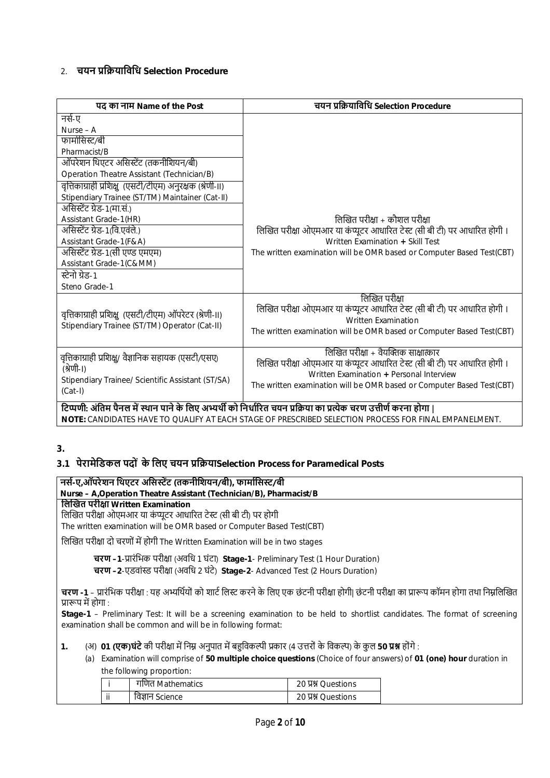# $2 \overline{u}$  **चयन पकियाविधि Selection Procedure**

| पद का नाम Name of the Post                                                                                                           | चयन प्रक्रियाविधि Selection Procedure                                                                                                                                                                                                 |
|--------------------------------------------------------------------------------------------------------------------------------------|---------------------------------------------------------------------------------------------------------------------------------------------------------------------------------------------------------------------------------------|
| नर्स-ए                                                                                                                               |                                                                                                                                                                                                                                       |
| Nurse - A                                                                                                                            |                                                                                                                                                                                                                                       |
| फार्मासिस्ट/बी                                                                                                                       |                                                                                                                                                                                                                                       |
| Pharmacist/B                                                                                                                         |                                                                                                                                                                                                                                       |
| ऑपरेशन थिएटर असिस्टेंट (तकनीशियन/बी)                                                                                                 |                                                                                                                                                                                                                                       |
| Operation Theatre Assistant (Technician/B)                                                                                           |                                                                                                                                                                                                                                       |
| वृत्तिकाग्राही प्रशिक्षु (एसटी/टीएम) अनुरक्षक (श्रेणी-II)                                                                            |                                                                                                                                                                                                                                       |
| Stipendiary Trainee (ST/TM) Maintainer (Cat-II)                                                                                      |                                                                                                                                                                                                                                       |
| असिस्टेंट ग्रेड-1(मा.सं.)                                                                                                            |                                                                                                                                                                                                                                       |
| Assistant Grade-1(HR)                                                                                                                | लिखित परीक्षा + कौशल परीक्षा                                                                                                                                                                                                          |
| असिस्टेंट ग्रेड-1(वि.एवंले.)                                                                                                         | लिखित परीक्षा ओएमआर या कंप्यूटर आधारित टेस्ट (सी बी टी) पर आधारित होगी।                                                                                                                                                               |
| Assistant Grade-1(F&A)                                                                                                               | Written Examination + Skill Test                                                                                                                                                                                                      |
| असिस्टेंट ग्रेड-1(सी एण्ड एमएम)                                                                                                      | The written examination will be OMR based or Computer Based Test(CBT)                                                                                                                                                                 |
| Assistant Grade-1(C&MM)                                                                                                              |                                                                                                                                                                                                                                       |
| स्टेनो ग्रेड-1                                                                                                                       |                                                                                                                                                                                                                                       |
| Steno Grade-1                                                                                                                        |                                                                                                                                                                                                                                       |
| वृत्तिकाग्राही प्रशिक्षु (एसटी/टीएम) ऑपरेटर (श्रेणी-॥)<br>Stipendiary Trainee (ST/TM) Operator (Cat-II)                              | लिखित परीक्षा<br>लिखित परीक्षा ओएमआर या कंप्यूटर आधारित टेस्ट (सी बी टी) पर आधारित होगी ।<br>Written Examination<br>The written examination will be OMR based or Computer Based Test(CBT)                                             |
| वृत्तिकाग्राही प्रशिक्षु/ वैज्ञानिक सहायक (एसटी/एसए)<br>(श्रेणी-।)<br>Stipendiary Trainee/ Scientific Assistant (ST/SA)<br>$(Cat-I)$ | लिखित परीक्षा + वैयक्तिक साक्षात्कार<br>लिखित परीक्षा ओएमआर या कंप्यूटर आधारित टेस्ट (सी बी टी) पर आधारित होगी ।<br>Written Examination + Personal Interview<br>The written examination will be OMR based or Computer Based Test(CBT) |
|                                                                                                                                      | टिप्पणी: अंतिम पैनल में स्थान पाने के लिए अभ्यर्थी को निर्धारित चयन प्रक्रिया का प्रत्येक चरण उत्तीर्ण करना होगा                                                                                                                      |

**NOTE:** CANDIDATES HAVE TO QUALIFY AT EACH STAGE OF PRESCRIBED SELECTION PROCESS FOR FINAL EMPANELMENT.

# **3.**

# **3.1 पेरामेिडकल पदों के िलए चयन ŮिŢयाSelection Process for Paramedical Posts**

# **नसŊ-ए,ऑपरेशन िथएटर अिसːŐट (तकनीिशयन/बी), फामाŊिसː/बी Nurse – A,Operation Theatre Assistant (Technician/B), Pharmacist/B िलİखत परीƗा Written Examination** लिखित परीक्षा ओएमआर या कंप्यूटर आधारित टेस्ट (सी बी टी) पर होगी The written examination will be OMR based or Computer Based Test(CBT) लिखित परीक्षा दो चरणों में होगी The Written Examination will be in two stages **चरण –1**-Ůारंिभक परीƗा (अविध 1 घंटा) **Stage-1**- Preliminary Test (1 Hour Duration) **चरण –2**-एडवां̾ड परीƗा (अविध 2 घंटे) **Stage-2**- Advanced Test (2 Hours Duration) **चरण -1** – प्रारंभिक परीक्षा : यह अभ्यर्थियों को शार्ट लिस्ट करने के लिए एक छंटनी परीक्षा होगी| छंटनी परीक्षा का प्रारूप कॉमन होगा तथा निम्नलिखित प्रारूप में होगा : **Stage-1** – Preliminary Test: It will be a screening examination to be held to shortlist candidates. The format of screening examination shall be common and will be in following format: **1.** (अ) **01 (एक)घंटे** की परीक्षा में निम्न अनुपात में बहुविकल्पी प्रकार (4 उत्तरों के विकल्प) के कुल 50 **प्रश्न** होंगे :

(a) Examination will comprise of **50 multiple choice questions** (Choice of four answers) of **01 (one) hour** duration in the following proportion:

|       | गाणत Mathematics  | 20 A Questions  |  |
|-------|-------------------|-----------------|--|
| .<br> | Science<br>वज्ञान | 20 A SQuestions |  |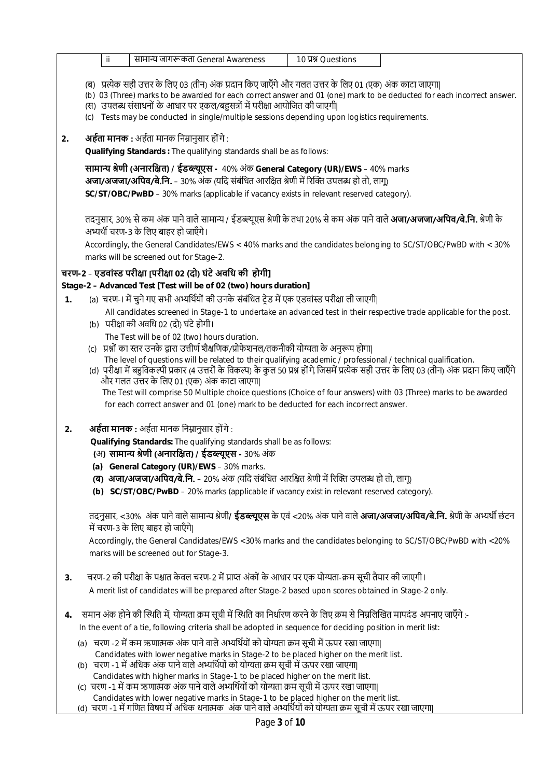|                | सामान्य जागरूकता General Awareness<br>10 贝别 Questions<br>ii.                                                                                                                                                                                                                                                                                                                                                                                                                                                                                                                                                                                                              |
|----------------|---------------------------------------------------------------------------------------------------------------------------------------------------------------------------------------------------------------------------------------------------------------------------------------------------------------------------------------------------------------------------------------------------------------------------------------------------------------------------------------------------------------------------------------------------------------------------------------------------------------------------------------------------------------------------|
|                | (ब) प्रत्येक सही उत्तर के लिए 03 (तीन) अंक प्रदान किए जाएँगे और गलत उत्तर के लिए 01 (एक) अंक काटा जाएगा <br>(b) 03 (Three) marks to be awarded for each correct answer and 01 (one) mark to be deducted for each incorrect answer.<br>(स) उपलब्ध संसाधनों के आधार पर एकल/बहुसत्रों में परीक्षा आयोजित की जाएगी <br>Tests may be conducted in single/multiple sessions depending upon logistics requirements.<br>(C)                                                                                                                                                                                                                                                       |
| 2.             | अर्हता मानक : अर्हता मानक निम्नानुसार हों गे :                                                                                                                                                                                                                                                                                                                                                                                                                                                                                                                                                                                                                            |
|                | Qualifying Standards: The qualifying standards shall be as follows:                                                                                                                                                                                                                                                                                                                                                                                                                                                                                                                                                                                                       |
|                | सामान्य श्रेणी (अनारक्षित) / ईडब्ल्यूएस - 40% अंक General Category (UR)/EWS – 40% marks<br><b>अजा/अजजा/अपिव/बे.नि.</b> – 30% अंक (यदि संबंधित आरक्षित श्रेणी में रिक्ति उपलब्ध हो तो, लागू)                                                                                                                                                                                                                                                                                                                                                                                                                                                                               |
|                | SC/ST/OBC/PwBD - 30% marks (applicable if vacancy exists in relevant reserved category).                                                                                                                                                                                                                                                                                                                                                                                                                                                                                                                                                                                  |
|                | तदनुसार, 30% से कम अंक पाने वाले सामान्य / ईडब्ल्यूएस श्रेणी के तथा 20% से कम अंक पाने वाले <b>अजा/अजजा/अपिव/बे.नि.</b> श्रेणी के<br>अभ्यर्थी चरण-3 के लिए बाहर हो जाएँगे।<br>Accordingly, the General Candidates/EWS < 40% marks and the candidates belonging to SC/ST/OBC/PwBD with < 30%<br>marks will be screened out for Stage-2.                                                                                                                                                                                                                                                                                                                                    |
|                | चरण-2 – एडवांस्ड परीक्षा ।परीक्षा 02 (दो) घंटे अवधि की होगी।                                                                                                                                                                                                                                                                                                                                                                                                                                                                                                                                                                                                              |
|                | Stage-2 - Advanced Test [Test will be of 02 (two) hours duration]                                                                                                                                                                                                                                                                                                                                                                                                                                                                                                                                                                                                         |
| $\mathbf{1}$ . | (a) चरण-। में चुने गए सभी अभ्यर्थियों की उनके संबंधित टे़ड में एक एडवांस्ड परीक्षा ली जाएगी                                                                                                                                                                                                                                                                                                                                                                                                                                                                                                                                                                               |
|                | All candidates screened in Stage-1 to undertake an advanced test in their respective trade applicable for the post.<br>(b) परीक्षा की अवधि 02 (दो) घंटे होगी।                                                                                                                                                                                                                                                                                                                                                                                                                                                                                                             |
|                | The Test will be of 02 (two) hours duration.<br>(c) प्रश्नों का स्तर उनके द्वारा उत्तीर्ण शैक्षणिक/प्रोफेशनल/तकनीकी योग्यता के अनुरूप होगा <br>The level of questions will be related to their qualifying academic / professional / technical qualification.<br>(d) परीक्षा में बहुविकल्पी प्रकार (4 उत्तरों के विकल्प) के कुल 50 प्रश्न हों गे जिसमें प्रत्येक सही उत्तर के लिए 03 (तीन) अंक प्रदान किए जाएँगे<br>और गलत उत्तर के लिए 01 (एक) अंक काटा जाएगा <br>The Test will comprise 50 Multiple choice questions (Choice of four answers) with 03 (Three) marks to be awarded<br>for each correct answer and 01 (one) mark to be deducted for each incorrect answer. |
| 2.             | <b>अर्हता मानक :</b> अर्हता मानक निम्नानुसार हों गे :                                                                                                                                                                                                                                                                                                                                                                                                                                                                                                                                                                                                                     |
|                | Qualifying Standards: The qualifying standards shall be as follows:<br>(अ) सामान्य श्रेणी (अनारक्षित) / ईडब्ल्यूएस - 30% अंक                                                                                                                                                                                                                                                                                                                                                                                                                                                                                                                                              |
|                | (a) General Category (UR)/EWS - 30% marks.                                                                                                                                                                                                                                                                                                                                                                                                                                                                                                                                                                                                                                |
|                | (ब)  अजा/अजजा/अपिव/बे.नि. – 20% अंक (यदि संबंधित आरक्षित श्रेणी में रिक्ति उपलब्ध हो तो, लागू)                                                                                                                                                                                                                                                                                                                                                                                                                                                                                                                                                                            |
|                | (b) SC/ST/OBC/PwBD - 20% marks (applicable if vacancy exist in relevant reserved category).                                                                                                                                                                                                                                                                                                                                                                                                                                                                                                                                                                               |
|                | तदनुसार, <30% अंक पाने वाले सामान्य श्रेणी <b>/ ईडब्ल्यूएस</b> के एवं <20% अंक पाने वाले <b>अजा/अजजा/अपिव/बे.नि.</b> श्रेणी के अभ्यर्थी छंटन<br>में चरण-3 के लिए बाहर हो जाएँगे।                                                                                                                                                                                                                                                                                                                                                                                                                                                                                          |
|                | Accordingly, the General Candidates/EWS <30% marks and the candidates belonging to SC/ST/OBC/PwBD with <20%<br>marks will be screened out for Stage-3.                                                                                                                                                                                                                                                                                                                                                                                                                                                                                                                    |
| 3.             | चरण-2 की परीक्षा के पश्चात केवल चरण-2 में प्राप्त अंकों के आधार पर एक योग्यता-क्रम सूची तैयार की जाएगी।                                                                                                                                                                                                                                                                                                                                                                                                                                                                                                                                                                   |
|                | A merit list of candidates will be prepared after Stage-2 based upon scores obtained in Stage-2 only.                                                                                                                                                                                                                                                                                                                                                                                                                                                                                                                                                                     |
| 4.             | - समान अंक होने की स्थिति में, योग्यता क्रम सूची में स्थिति का निर्धारण करने के लिए क्रम से निम्नलिखित मापदंड अपनाए जाएँगे                                                                                                                                                                                                                                                                                                                                                                                                                                                                                                                                                |
|                | In the event of a tie, following criteria shall be adopted in sequence for deciding position in merit list:                                                                                                                                                                                                                                                                                                                                                                                                                                                                                                                                                               |
|                | (a) चरण -2 में कम ऋणात्मक अंक पाने वाले अभ्यर्थियों को योग्यता क्रम सूची में ऊपर रखा जाएगा                                                                                                                                                                                                                                                                                                                                                                                                                                                                                                                                                                                |
|                | Candidates with lower negative marks in Stage-2 to be placed higher on the merit list.<br>(b) चरण -1 में अधिक अंक पाने वाले अभ्यर्थियों को योग्यता क्रम सूची में ऊपर रखा जाएगा                                                                                                                                                                                                                                                                                                                                                                                                                                                                                            |
|                | Candidates with higher marks in Stage-1 to be placed higher on the merit list.                                                                                                                                                                                                                                                                                                                                                                                                                                                                                                                                                                                            |
|                | (c)  चरण -1 में कम ऋणात्मक अंक पाने वाले अभ्यर्थियों को योग्यता क्रम सूची में ऊपर रखा जाएगा                                                                                                                                                                                                                                                                                                                                                                                                                                                                                                                                                                               |
|                | Candidates with lower negative marks in Stage-1 to be placed higher on the merit list.<br>(d) चरण -1 में गणित विषय में अधिक धनात्मक अंक पाने वाले अभ्यर्थियों को योग्यता क्रम सूची में ऊपर रखा जाएगा                                                                                                                                                                                                                                                                                                                                                                                                                                                                      |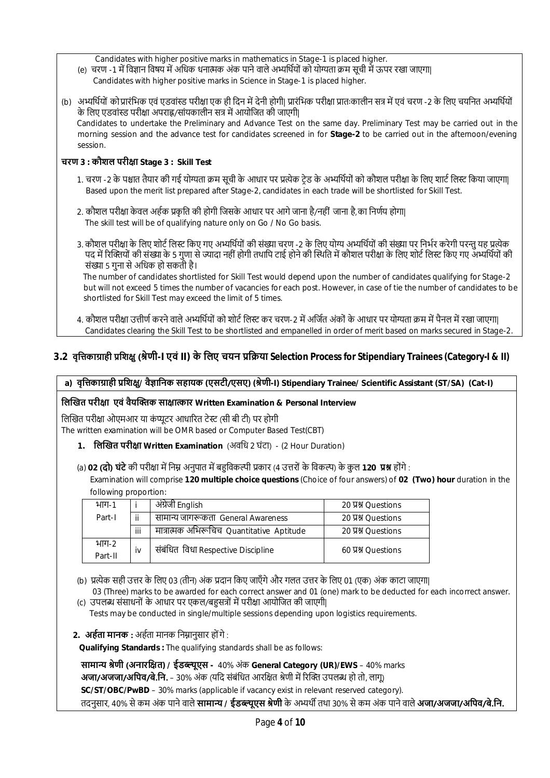Candidates with higher positive marks in mathematics in Stage-1 is placed higher.

- (e) चरण -1 में विज्ञान विषय में अधिक धनात्मक अंक पाने वाले अभ्यर्थियों को योग्यता क्रम सूची में ऊपर रखा जाएगा। Candidates with higher positive marks in Science in Stage-1 is placed higher.
- (b) अभ्यर्थियों को प्रारंभिक एवं एडवांस्ड परीक्षा एक ही दिन में देनी होगी| प्रारंभिक परीक्षा प्रातःकालीन सत्र में एवं चरण -2 के लिए चयनित अभ्यर्थियों के लिए एडवांस्ड परीक्षा अपराह्न/सांयकालीन सत्र में आयोजित की जाएगी| Candidates to undertake the Preliminary and Advance Test on the same day. Preliminary Test may be carried out in the morning session and the advance test for candidates screened in for **Stage-2** to be carried out in the afternoon/evening session.

### **चरण 3 : कौशल परीƗा Stage 3 : Skill Test**

- 1. चरण -2 के पश्चात तैयार की गई योग्यता क्रम सूची के आधार पर प्रत्येक टेड के अभ्यर्थियों को कौशल परीक्षा के लिए शार्ट लिस्ट किया जाएगा| Based upon the merit list prepared after Stage-2, candidates in each trade will be shortlisted for Skill Test.
- 2. कौशल परीक्षा केवल अर्हक प्रकृति की होगी जिसके आधार पर आगे जाना है/नहीं जाना है,का निर्णय होगा| The skill test will be of qualifying nature only on Go / No Go basis.
- 3. कौशल परीक्षा के लिए शोर्ट लिस्ट किए गए अभ्यर्थियों की संख्या चरण -2 के लिए योग्य अभ्यर्थियों की संख्या पर निर्भर करेगी परन्त यह प्रत्येक पद में रिक्तियों की संख्या के 5 गुणा से ज्यादा नहीं होगी तथापि टाई होने की स्थिति में कौशल परीक्षा के लिए शोर्ट लिस्ट किए गए अभ्यर्थियों की संख्या 5 गना से अधिक हो सकती है।

The number of candidates shortlisted for Skill Test would depend upon the number of candidates qualifying for Stage-2 but will not exceed 5 times the number of vacancies for each post. However, in case of tie the number of candidates to be shortlisted for Skill Test may exceed the limit of 5 times.

4. कौशल परीक्षा उत्तीर्ण करने वाले अभ्यर्थियों को शोर्ट लिस्ट कर चरण-2 में अर्जित अंकों के आधार पर योग्यता क्रम में पैनल में रखा जाएगा। Candidates clearing the Skill Test to be shortlisted and empanelled in order of merit based on marks secured in Stage-2.

# **3.2 वृिȅकाŤाही ŮिशƗु(ŵेणी-I एवं II) के िलए चयन ŮिŢया Selection Process for Stipendiary Trainees (Category-I & II)**

#### **a) वृिȅकाŤाही ŮिशƗु/ वैǒािनक सहायक (एसटी/एसए) (ŵेणी-I) Stipendiary Trainee/ Scientific Assistant (ST/SA) (Cat-I)**

#### **िलİखत परीƗा एवं वैयİƅक साƗा̝ कार Written Examination & Personal Interview**

लिखित परीक्षा ओएमआर या कंप्यूटर आधारित टेस्ट (सी बी टी) पर होगी

The written examination will be OMR based or Computer Based Test(CBT)

**1. िलİखत परीƗा Written Examination** (अविध 2 घंटा) - (2 Hour Duration)

(a) **02 (दो) घंटे** की परीक्षा में निम्न अनुपात में बहुविकल्पी प्रकार (4 उत्तरों के विकल्प) के कुल 120 प्रश्न होंगे :

 Examination will comprise **120 multiple choice questions** (Choice of four answers) of **02 (Two) hour** duration in the following proportion:

| भाग-1            |          | अंग्रेजी English                          | 20 A SQuestions |
|------------------|----------|-------------------------------------------|-----------------|
| Part-I           | $\cdots$ | सामान्य जागरूकता General Awareness        | 20 贝别 Ouestions |
|                  | iii      | मात्रात्मक अभिरूचिच Quantitative Aptitude | 20 贝别 Ouestions |
| भाग-2<br>Part-II | iv       | संबंधित विधा Respective Discipline        | 60 Y MOuestions |

(b) प्रत्येक सही उत्तर के लिए 03 (तीन) अंक प्रदान किए जाएँगे और गलत उत्तर के लिए 01 (एक) अंक काटा जाएगा|

 03 (Three) marks to be awarded for each correct answer and 01 (one) mark to be deducted for each incorrect answer. (c) उपलब्ध संसाधनों के आधार पर एकल/बहसत्रों में परीक्षा आयोजित की जाएगी|

Tests may be conducted in single/multiple sessions depending upon logistics requirements.

**2. अर्हता मानक :** अर्हता मानक निम्नानुसार होंगे :

 **Qualifying Standards :** The qualifying standards shall be as follows:

**सामाɊ ŵेणी (अनारिƗत) / ईडɲूएस -** 40% अंक **General Category (UR)/EWS** – 40% marks **अजा/अजजा/अपिव/बे.नि.** – 30% अंक (यदि संबंधित आरक्षित श्रेणी में रिक्ति उपलब्ध हो तो, लागू) **SC/ST/OBC/PwBD** – 30% marks (applicable if vacancy exist in relevant reserved category).

तदनुसार, 40% सेकम अंक पाने वाले **सामाɊ / ईडɲूएस ŵेणी** के अɷथŎ तथा 30% से कम अंक पाने वाले **अजा/अजजा/अिपव/बे.िन.**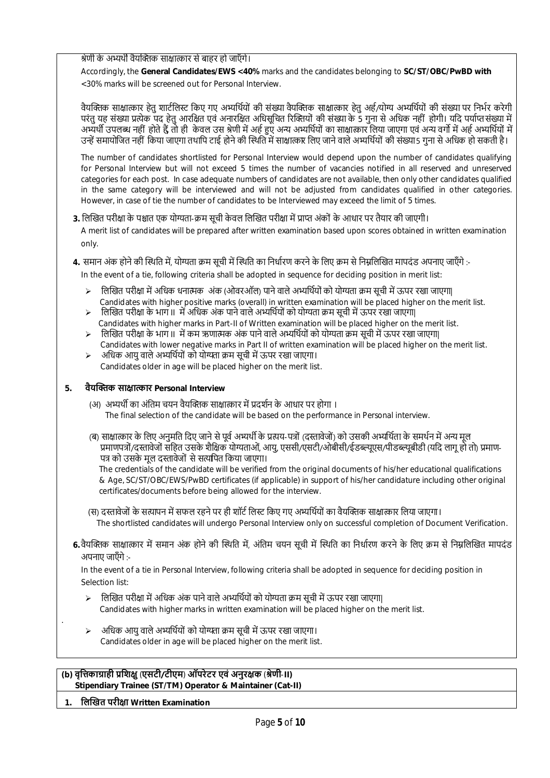श्रेणी के अभ्यर्थी वैयक्तिक साक्षात्कार से बाहर हो जाएँगे।

Accordingly, the **General Candidates/EWS <40%** marks and the candidates belonging to **SC/ST/OBC/PwBD with**  <30% marks will be screened out for Personal Interview.

वैयक्तिक साक्षात्कार हेतु शार्टलिस्ट किए गए अभ्यर्थियों की संख्या वैयक्तिक साक्षात्कार हेतु अर्ह/योग्य अभ्यर्थियों की संख्या पर निर्भर करेगी परंतु यह संख्या प्रत्येक पद हेतु आरक्षित एवं अनारक्षित अधिसूचित रिक्तियों की संख्या के 5 गुना से अधिक नहीं होगी। यदि पर्याप्तसंख्या में अभ्यर्थी उपलब्ध नहीं होते हैं तो ही केवल उस श्रेणी में अर्ह हुए अन्य अभ्यर्थियों का साक्षात्कार लिया जाएगा एवं अन्य वर्गो में अर्ह अभ्यर्थियों में उन्हें समायोजित नहीं किया जाएगा तथापि टाई होने की स्थिति में साक्षात्कार लिए जाने वाले अभ्यर्थियों की संख्या 5 गुना से अधिक हो सकती है।

The number of candidates shortlisted for Personal Interview would depend upon the number of candidates qualifying for Personal Interview but will not exceed 5 times the number of vacancies notified in all reserved and unreserved categories for each post. In case adequate numbers of candidates are not available, then only other candidates qualified in the same category will be interviewed and will not be adjusted from candidates qualified in other categories. However, in case of tie the number of candidates to be Interviewed may exceed the limit of 5 times.

#### 3. लिखित परीक्षा के पश्चात एक योग्यता-क्रम सूची केवल लिखित परीक्षा में प्राप्त अंकों के आधार पर तैयार की जाएगी।

A merit list of candidates will be prepared after written examination based upon scores obtained in written examination only.

**4.** समान अंक होने की स्थिति में, योग्यता क्रम सची में स्थिति का निर्धारण करने के लिए क्रम से निम्नलिखित मापदंड अपनाए जाएँगे :-

In the event of a tie, following criteria shall be adopted in sequence for deciding position in merit list:

- $\triangleright$  लिखित परीक्षा में अधिक धनात्मक अंक (ओवरऑल) पाने वाले अभ्यर्थियों को योग्यता क्रम सूची में ऊपर रखा जाएगा| Candidates with higher positive marks (overall) in written examination will be placed higher on the merit list.
- $>$  लिखित परीक्षा के भाग II में अधिक अंक पाने वाले अभ्यर्थियों को योग्यता क्रम सूची में ऊपर रखा जाएगा| Candidates with higher marks in Part-II of Written examination will be placed higher on the merit list.
- $\triangleright$  लिखित परीक्षा के भाग II में कम ऋणात्मक अंक पाने वाले अभ्यर्थियों को योग्यता क्रम सूची में ऊपर रखा जाएगा| Candidates with lower negative marks in Part II of written examination will be placed higher on the merit list.
- $>$  अधिक आयु वाले अभ्यर्थियों को योग्यता क्रम सूची में ऊपर रखा जाएगा। Candidates older in age will be placed higher on the merit list.

#### **5. वैयİƅक साƗा̝ कार Personal Interview**

- (अ) अभ्यर्थी का अंतिम चयन वैयक्तिक साक्षात्कार में प्रदर्शन के आधार पर होगा । The final selection of the candidate will be based on the performance in Personal interview.
- (ब) साक्षात्कार के लिए अनुमति दिए जाने से पूर्व अभ्यर्थी के प्रत्यय-पत्रों (दस्तावेजों) को उसकी अभ्यर्थिता के समर्थन में अन्य मूल प्रमाणपत्रों/दस्तावेजों सहित उसके शैक्षिक योग्यताओं, आयु, एससी/एसटी/ओबीसी/ईडब्ल्यूएस/पीडब्ल्यूबीडी (यदि लागू हो तो) प्रमाण-पत्र को उसके मूल दस्तावेजों से सत्यपित किया जाएगा।

 The credentials of the candidate will be verified from the original documents of his/her educational qualifications & Age, SC/ST/OBC/EWS/PwBD certificates (if applicable) in support of his/her candidature including other original certificates/documents before being allowed for the interview.

- (स) दस्तावेजों के सत्यापन में सफल रहने पर ही शॉर्ट लिस्ट किए गए अभ्यर्थियों का वैयक्तिक साक्षात्कार लिया जाएगा। The shortlisted candidates will undergo Personal Interview only on successful completion of Document Verification.
- **6.**वैयक्तिक साक्षात्कार में समान अंक होने की स्थिति में. अंतिम चयन सची में स्थिति का निर्धारण करने के लिए क्रम से निम्रलिखित मापदंड अपनाए जाएँगे :-

 In the event of a tie in Personal Interview, following criteria shall be adopted in sequence for deciding position in Selection list:

- $\triangleright$  लिखित परीक्षा में अधिक अंक पाने वाले अभ्यर्थियों को योग्यता क्रम सूची में ऊपर रखा जाएगा| Candidates with higher marks in written examination will be placed higher on the merit list.
- अधिक आयु वाले अभ्यर्थियों को योग्यता क्रम सूची में ऊपर रखा जाएगा। Candidates older in age will be placed higher on the merit list.

#### **(b) वृिȅकाŤाही ŮिशƗु** (**एसटी/टीएम**) **ऑपरेटर एवं अनुरƗक** (**ŵेणी**-**II) Stipendiary Trainee (ST/TM) Operator & Maintainer (Cat-II)**

**1. िलİखत परीƗा Written Examination**

.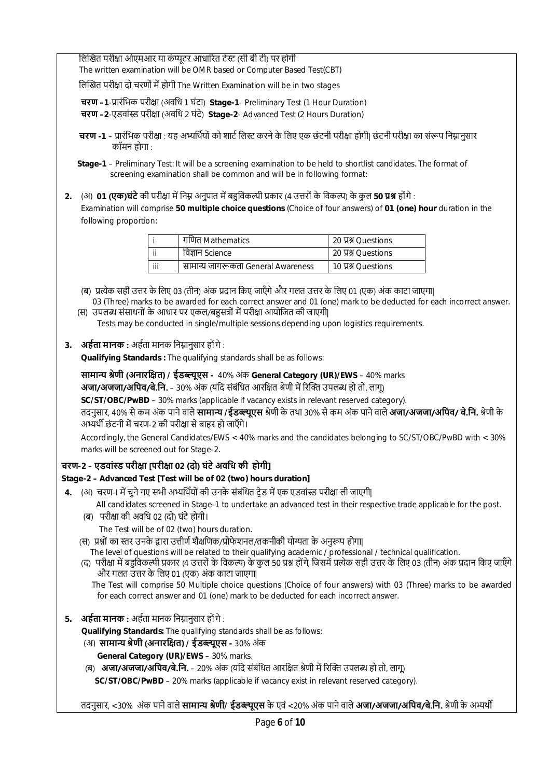लिखित परीक्षा ओएमआर या कंप्यूटर आधारित टेस्ट (सी बी टी) पर होगी

The written examination will be OMR based or Computer Based Test(CBT)

लिखित परीक्षा दो चरणों में होगी The Written Examination will be in two stages

**चरण –1**-Ůारंिभक परीƗा (अविध 1 घंटा) **Stage-1**- Preliminary Test (1 Hour Duration)

**चरण –2**-एडवां̾ड परीƗा (अविध 2 घंटे) **Stage-2**- Advanced Test (2 Hours Duration)

**चरण -1** – प्रारंभिक परीक्षा : यह अभ्यर्थियों को शार्ट लिस्ट करने के लिए एक छंटनी परीक्षा होगी| छंटनी परीक्षा का संरूप निम्नानुसार कॉमन होगा $\cdot$ 

**2.** (अ) **01 (एक)घंटे** की परीक्षा में निम्न अनुपात में बहुविकल्पी प्रकार (4 उत्तरों के विकल्प) के कुल 5**0 प्रश्न** होंगे : Examination will comprise **50 multiple choice questions** (Choice of four answers) of **01 (one) hour** duration in the following proportion:

|                       | ाणित Mathematics                   | 20 贝别 Ouestions     |
|-----------------------|------------------------------------|---------------------|
| ji<br>विज्ञान Science |                                    | 20 प्रश्न Ouestions |
| iii                   | सामान्य जागरूकता General Awareness | 10 贝别 Ouestions     |

(ब) प्रत्येक सही उत्तर के लिए 03 (तीन) अंक प्रदान किए जाएँगे और गलत उत्तर के लिए 01 (एक) अंक काटा जाएगा। 03 (Three) marks to be awarded for each correct answer and 01 (one) mark to be deducted for each incorrect answer. (स) उपलब्ध संसाधनों के आधार पर एकल/बहुसत्रों में परीक्षा आयोजित की जाएगी|

Tests may be conducted in single/multiple sessions depending upon logistics requirements.

# **3. अर्हता मानक :** अर्हता मानक निम्नानुसार होंगे :

**Qualifying Standards :** The qualifying standards shall be as follows:

**सामाɊ ŵेणी (अनारिƗत) / ईडɲूएस -** 40% अंक **General Category (UR)/EWS** – 40% marks

**अजा/अजजा/अपिव/बे.नि.** – 30% अंक (यदि संबंधित आरक्षित श्रेणी में रिक्ति उपलब्ध हो तो, लागू)

**SC/ST/OBC/PwBD** – 30% marks (applicable if vacancy exists in relevant reserved category).

तदनुसार, 40% सेकम अंक पाने वाले **सामाɊ /ईडɲूएस** ŵेणी के तथा 30% सेकम अंक पाने वाले **अजा/अजजा/अिपव/ बे.िन.** ŵेणी के अभ्यर्थी छंटनी में चरण-2 की परीक्षा से बाहर हो जाएँगे।

Accordingly, the General Candidates/EWS < 40% marks and the candidates belonging to SC/ST/OBC/PwBD with < 30% marks will be screened out for Stage-2.

# **चरण-2** – **एडवां̾ड परीƗा [परीƗा 02 (दो) घंटे अविध की होगी]**

# **Stage-2 – Advanced Test [Test will be of 02 (two) hours duration]**

- **4.** (अ) चरण-I में चने गए सभी अभ्यर्थियों की उनके संबंधित टेड में एक एडवांस्ड परीक्षा ली जाएगी|
	- All candidates screened in Stage-1 to undertake an advanced test in their respective trade applicable for the post. (ब) परीƗा की अविध 02 (दो) घंटे होगी।
		- The Test will be of 02 (two) hours duration.
	- (स) प्रश्नों का स्तर उनके द्वारा उत्तीर्ण शैक्षणिक/प्रोफेशनल/तकनीकी योग्यता के अनुरूप होगा|
		- The level of questions will be related to their qualifying academic / professional / technical qualification.
	- (द) परीक्षा में बहविकल्पी प्रकार (4 उत्तरों के विकल्प) के कुल 50 प्रश्न होंगे, जिसमें प्रत्येक सही उत्तर के लिए 03 (तीन) अंक प्रदान किए जाएँगे और गलत उȅर के िलए 01 (एक) अंक काटा जाएगा|

 The Test will comprise 50 Multiple choice questions (Choice of four answers) with 03 (Three) marks to be awarded for each correct answer and 01 (one) mark to be deducted for each incorrect answer.

**5. अर्हता मानक :** अर्हता मानक निम्नानुसार होंगे :

**Qualifying Standards:** The qualifying standards shall be as follows:

- (अ) **सामाɊ ŵेणी (अनारिƗत) / ईडɲूएस -** 30% अंक
	- **General Category (UR)/EWS** 30% marks.
- (ब) **अजा/अजजा/अपिव/बे.नि.** 20% अंक (यदि संबंधित आरक्षित श्रेणी में रिक्ति उपलब्ध हो तो, लागू)

 **SC/ST/OBC/PwBD** – 20% marks (applicable if vacancy exist in relevant reserved category).

तदनुसार, <30% अंक पाने वाले **सामान्य श्रेणी/ ईडब्ल्युएस** के एवं <20% अंक पाने वाले **अजा/अजजा/अपिव/बे.नि.** श्रेणी के अभ्यर्थी

**Stage-1** – Preliminary Test: It will be a screening examination to be held to shortlist candidates. The format of screening examination shall be common and will be in following format: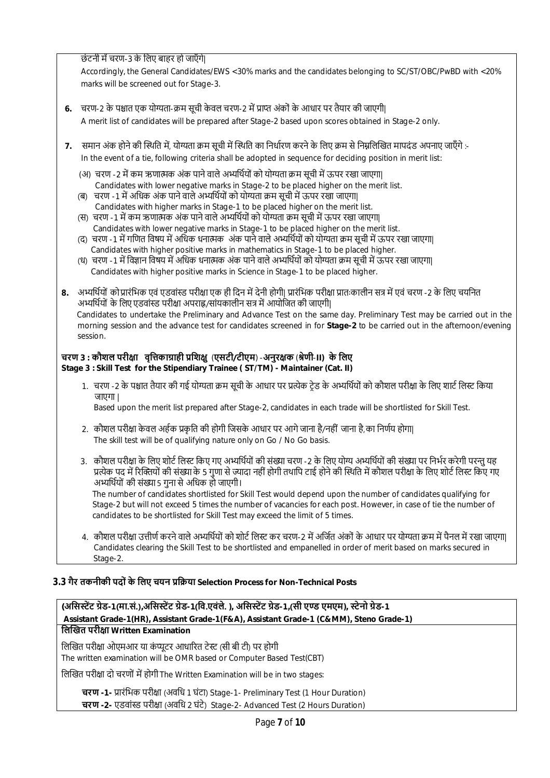छंटनी में चरण-3 के लिए बाहर हो जाएँगे।

Accordingly, the General Candidates/EWS <30% marks and the candidates belonging to SC/ST/OBC/PwBD with <20% marks will be screened out for Stage-3.

- **6.** चरण-2 के पश्चात एक योग्यता-क्रम सूची केवल चरण-2 में प्राप्त अंकों के आधार पर तैयार की जाएगी| A merit list of candidates will be prepared after Stage-2 based upon scores obtained in Stage-2 only.
- **7.** समान अंक होने की स्थिति में, योग्यता क्रम सूची में स्थिति का निर्धारण करने के लिए क्रम से निम्नलिखित मापदंड अपनाए जाएँगे :- In the event of a tie, following criteria shall be adopted in sequence for deciding position in merit list:
	- (अ) चरण -2 में कम ऋणात्मक अंक पाने वाले अभ्यर्थियों को योग्यता क्रम सची में ऊपर रखा जाएगा। Candidates with lower negative marks in Stage-2 to be placed higher on the merit list.
	- (ब) चरण -1 में अधिक अंक पाने वाले अभ्यर्थियों को योग्यता क्रम सूची में ऊपर रखा जाएगा| Candidates with higher marks in Stage-1 to be placed higher on the merit list.
	- (स) चरण -1 में कम ऋणात्मक अंक पाने वाले अभ्यर्थियों को योग्यता क्रम सूची में ऊपर रखा जाएगा| Candidates with lower negative marks in Stage-1 to be placed higher on the merit list.
	- (द) चरण -1 में गणित विषय में अधिक धनात्मक अंक पाने वाले अभ्यर्थियों को योग्यता क्रम सूची में ऊपर रखा जाएगा। Candidates with higher positive marks in mathematics in Stage-1 to be placed higher.
	- (ध) चरण -1 में विज्ञान विषय में अधिक धनात्मक अंक पाने वाले अभ्यर्थियों को योग्यता क्रम सूची में ऊपर रखा जाएगा| Candidates with higher positive marks in Science in Stage-1 to be placed higher.
- 8. अभ्यर्थियों को प्रारंभिक एवं एडवांस्ड परीक्षा एक ही दिन में देनी होगी| प्रारंभिक परीक्षा प्रातःकालीन सत्र में एवं चरण -2 के लिए चयनित अभ्यर्थियों के लिए एडवांस्ड परीक्षा अपराह्न/सांयकालीन सत्र में आयोजित की जाएगी| Candidates to undertake the Preliminary and Advance Test on the same day. Preliminary Test may be carried out in the morning session and the advance test for candidates screened in for **Stage-2** to be carried out in the afternoon/evening session.

#### **चरण 3 : कौशल परीƗा वृिȅकाŤाही ŮिशƗु** (**एसटी/टीएम**) -**अनुरƗक** (**ŵेणी**-**II) के िलए Stage 3 : Skill Test for the Stipendiary Trainee ( ST/TM) - Maintainer (Cat. II)**

1. चरण -2 के पश्चात तैयार की गई योग्यता क्रम सूची के आधार पर प्रत्येक टेड के अभ्यर्थियों को कौशल परीक्षा के लिए शार्ट लिस्ट किया जाएगा |

Based upon the merit list prepared after Stage-2, candidates in each trade will be shortlisted for Skill Test.

- 2. कौशल परीक्षा केवल अर्हक प्रकृति की होगी जिसके आधार पर आगे जाना है/नहीं जाना है,का निर्णय होगा। The skill test will be of qualifying nature only on Go / No Go basis.
- 3. कौशल परीक्षा के लिए शोर्ट लिस्ट किए गए अभ्यर्थियों की संख्या चरण -2 के लिए योग्य अभ्यर्थियों की संख्या पर निर्भर करेगी परन्त यह प्रत्येक पद में रिक्तियों की संख्या के 5 गुणा से ज्यादा नहीं होगी तथापि टाई होने की स्थिति में कौशल परीक्षा के लिए शोर्ट लिस्ट किए गए अभ्यर्थियों की संख्या 5 गना से अधिक हो जाएगी।

 The number of candidates shortlisted for Skill Test would depend upon the number of candidates qualifying for Stage-2 but will not exceed 5 times the number of vacancies for each post. However, in case of tie the number of candidates to be shortlisted for Skill Test may exceed the limit of 5 times.

4. ) कौशल परीक्षा उत्तीर्ण करने वाले अभ्यर्थियों को शोर्ट लिस्ट कर चरण-2 में अर्जित अंकों के आधार पर योग्यता क्रम में पैनल में रखा जाएगा Candidates clearing the Skill Test to be shortlisted and empanelled in order of merit based on marks secured in Stage-2.

# **3.3 गैर तकनीकी पदों के िलए चयन ŮिŢया Selection Process for Non-Technical Posts**

**(अिसːŐट Ťेड-1(मा.सं.),अिसːŐट Ťेड-1(िव.एवंले. ), अिसːŐट Ťेड-1,(सी एǷ एमएम), ːेनो Ťेड-1 Assistant Grade-1(HR), Assistant Grade-1(F&A), Assistant Grade-1 (C&MM), Steno Grade-1) िलİखत परीƗा Written Examination**

लिखित परीक्षा ओएमआर या कंप्यूटर आधारित टेस्ट (सी बी टी) पर होगी The written examination will be OMR based or Computer Based Test(CBT)

लिखित परीक्षा दो चरणों में होगी The Written Examination will be in two stages:

**चरण -1-** Ůारंिभक परीƗा (अविध 1 घंटा) Stage-1- Preliminary Test (1 Hour Duration) **चरण -2-** एडवां̾ड परीƗा (अविध 2 घंटे) Stage-2- Advanced Test (2 Hours Duration)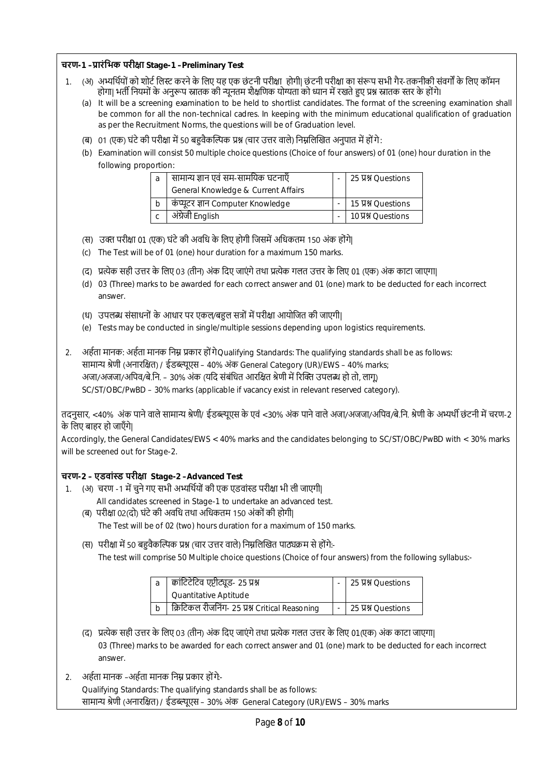|                                                                                                             | चरण-1 –प्रारंभिक परीक्षा Stage-1 –Preliminary Test                                                                                                                                                                                                           |  |                  |  |  |
|-------------------------------------------------------------------------------------------------------------|--------------------------------------------------------------------------------------------------------------------------------------------------------------------------------------------------------------------------------------------------------------|--|------------------|--|--|
|                                                                                                             | (अ) अभ्यर्थियों को शोर्ट लिस्ट करने के लिए यह एक छंटनी परीक्षा  होगी  छंटनी परीक्षा का संरूप सभी गैर-तकनीकी संवर्गों के लिए कॉमन<br>1.<br>होगा  भर्ती नियमों के अनुरूप स्नातक की न्यूनतम शैक्षणिक योग्यता को ध्यान में रखते हुए प्रश्न स्नातक स्तर के होंगे। |  |                  |  |  |
|                                                                                                             | It will be a screening examination to be held to shortlist candidates. The format of the screening examination shall<br>(a)                                                                                                                                  |  |                  |  |  |
|                                                                                                             | be common for all the non-technical cadres. In keeping with the minimum educational qualification of graduation                                                                                                                                              |  |                  |  |  |
|                                                                                                             | as per the Recruitment Norms, the questions will be of Graduation level.                                                                                                                                                                                     |  |                  |  |  |
|                                                                                                             | 01 (एक) घंटे की परीक्षा में 50 बहुवैकल्पिक प्रश्न (चार उत्तर वाले) निम्नलिखित अनुपात में होंगे:<br>(ৰ)                                                                                                                                                       |  |                  |  |  |
|                                                                                                             | (b) Examination will consist 50 multiple choice questions (Choice of four answers) of 01 (one) hour duration in the                                                                                                                                          |  |                  |  |  |
|                                                                                                             | following proportion:                                                                                                                                                                                                                                        |  |                  |  |  |
|                                                                                                             | सामान्य ज्ञान एवं सम-सामयिक घटनाएँ<br>a                                                                                                                                                                                                                      |  | 25 V SQuestions  |  |  |
|                                                                                                             | General Knowledge & Current Affairs                                                                                                                                                                                                                          |  |                  |  |  |
|                                                                                                             | कंप्यूटर ज्ञान Computer Knowledge<br>b                                                                                                                                                                                                                       |  | 15 贝别 Questions  |  |  |
|                                                                                                             | अंग्रेजी English<br>$\mathsf{C}$                                                                                                                                                                                                                             |  | 10 A Y Questions |  |  |
|                                                                                                             | (स) उक्त परीक्षा 01 (एक) घंटे की अवधि के लिए होगी जिसमें अधिकतम 150 अंक होंगे                                                                                                                                                                                |  |                  |  |  |
|                                                                                                             | The Test will be of 01 (one) hour duration for a maximum 150 marks.<br>(c)                                                                                                                                                                                   |  |                  |  |  |
|                                                                                                             |                                                                                                                                                                                                                                                              |  |                  |  |  |
|                                                                                                             | प्रत्येक सही उत्तर के लिए 03 (तीन) अंक दिए जाएंगे तथा प्रत्येक गलत उत्तर के लिए 01 (एक) अंक काटा जाएगा <br>$\mathcal{F}$                                                                                                                                     |  |                  |  |  |
|                                                                                                             | 03 (Three) marks to be awarded for each correct answer and 01 (one) mark to be deducted for each incorrect<br>(d)<br>answer.                                                                                                                                 |  |                  |  |  |
|                                                                                                             | (ध) उपलब्ध संसाधनों के आधार पर एकल/बहुल सत्रों में परीक्षा आयोजित की जाएगी                                                                                                                                                                                   |  |                  |  |  |
|                                                                                                             | Tests may be conducted in single/multiple sessions depending upon logistics requirements.<br>(e)                                                                                                                                                             |  |                  |  |  |
|                                                                                                             |                                                                                                                                                                                                                                                              |  |                  |  |  |
| 2.                                                                                                          | अर्हता मानक: अर्हता मानक निम्न प्रकार हों गेQualifying Standards: The qualifying standards shall be as follows:                                                                                                                                              |  |                  |  |  |
|                                                                                                             | सामान्य श्रेणी (अनारक्षित) / ईडब्ल्यूएस - 40% अंक General Category (UR)/EWS - 40% marks;                                                                                                                                                                     |  |                  |  |  |
|                                                                                                             | अजा/अजजा/अपिव/बे.नि. – 30% अंक (यदि संबंधित आरक्षित श्रेणी में रिक्ति उपलब्ध हो तो, लागू)                                                                                                                                                                    |  |                  |  |  |
|                                                                                                             | SC/ST/OBC/PwBD - 30% marks (applicable if vacancy exist in relevant reserved category).                                                                                                                                                                      |  |                  |  |  |
|                                                                                                             | तदनुसार, <40% अंक पाने वाले सामान्य श्रेणी/ ईडब्ल्यूएस के एवं <30% अंक पाने वाले अजा/अजजा/अपिव/बे.नि. श्रेणी के अभ्यर्थी छंटनी में चरण-2                                                                                                                     |  |                  |  |  |
|                                                                                                             | के लिए बाहर हो जाएँगे।                                                                                                                                                                                                                                       |  |                  |  |  |
|                                                                                                             | Accordingly, the General Candidates/EWS < 40% marks and the candidates belonging to SC/ST/OBC/PwBD with < 30% marks                                                                                                                                          |  |                  |  |  |
| will be screened out for Stage-2.                                                                           |                                                                                                                                                                                                                                                              |  |                  |  |  |
|                                                                                                             |                                                                                                                                                                                                                                                              |  |                  |  |  |
|                                                                                                             | चरण-2 – एडवांस्ड परीक्षा Stage-2 –Advanced Test                                                                                                                                                                                                              |  |                  |  |  |
| (अ) चरण -1 में चुने गए सभी अभ्यर्थियों की एक एडवांस्ड परीक्षा भी ली जाएगी।<br>1.                            |                                                                                                                                                                                                                                                              |  |                  |  |  |
| All candidates screened in Stage-1 to undertake an advanced test.                                           |                                                                                                                                                                                                                                                              |  |                  |  |  |
| (ब) परीक्षा 02(दो) घंटे की अवधि तथा अधिकतम 150 अंकों की होगी।                                               |                                                                                                                                                                                                                                                              |  |                  |  |  |
| The Test will be of 02 (two) hours duration for a maximum of 150 marks.                                     |                                                                                                                                                                                                                                                              |  |                  |  |  |
| (स) परीक्षा में 50 बहुवैकल्पिक प्रश्न (चार उत्तर वाले) निम्नलिखित पाठ्यक्रम से होंगे:-                      |                                                                                                                                                                                                                                                              |  |                  |  |  |
| The test will comprise 50 Multiple choice questions (Choice of four answers) from the following syllabus:-  |                                                                                                                                                                                                                                                              |  |                  |  |  |
|                                                                                                             |                                                                                                                                                                                                                                                              |  |                  |  |  |
| क्वांटिटेटिव एप्टीट्यूड- 25 प्रश्न<br>25 贝别 Questions<br>a                                                  |                                                                                                                                                                                                                                                              |  |                  |  |  |
|                                                                                                             | Quantitative Aptitude<br>क्रिटिकल रीजनिंग- 25 प्रश्न Critical Reasoning<br>$\mathbf b$                                                                                                                                                                       |  |                  |  |  |
|                                                                                                             |                                                                                                                                                                                                                                                              |  | 25 贝别 Questions  |  |  |
| (द)   प्रत्येक सही उत्तर के लिए 03 (तीन) अंक दिए जाएंगे तथा प्रत्येक गलत उत्तर के लिए 01(एक) अंक काटा जाएगा |                                                                                                                                                                                                                                                              |  |                  |  |  |
| 03 (Three) marks to be awarded for each correct answer and 01 (one) mark to be deducted for each incorrect  |                                                                                                                                                                                                                                                              |  |                  |  |  |
| answer.                                                                                                     |                                                                                                                                                                                                                                                              |  |                  |  |  |
|                                                                                                             |                                                                                                                                                                                                                                                              |  |                  |  |  |
|                                                                                                             | अर्हता मानक –अर्हता मानक निम्न प्रकार होंगे-<br>2.                                                                                                                                                                                                           |  |                  |  |  |
|                                                                                                             | Qualifying Standards: The qualifying standards shall be as follows:<br>सामान्य श्रेणी (अनारक्षित) / ईडब्ल्यूएस - 30% अंक General Category (UR)/EWS - 30% marks                                                                                               |  |                  |  |  |
|                                                                                                             |                                                                                                                                                                                                                                                              |  |                  |  |  |
| Page 8 of 10                                                                                                |                                                                                                                                                                                                                                                              |  |                  |  |  |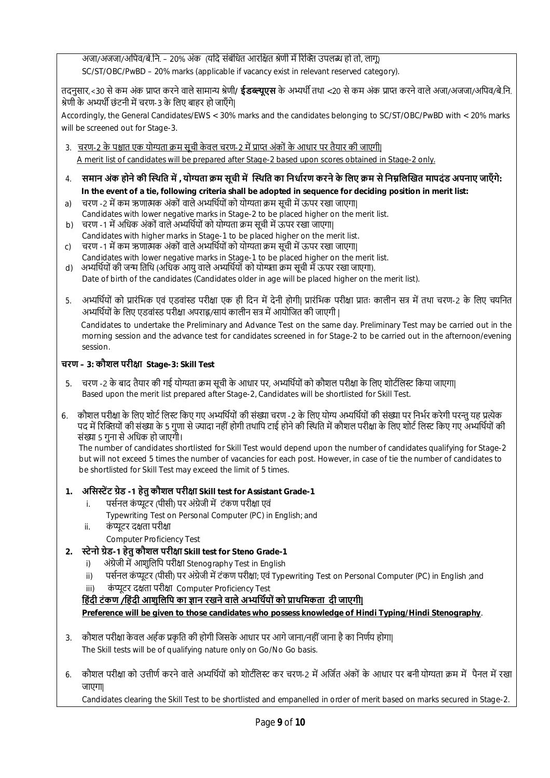अजा/अजजा/अपिव/बे.नि. – 20% अंक (यदि संबंधित आरक्षित श्रेणी में रिक्ति उपलब्ध हो तो, लागू) SC/ST/OBC/PwBD – 20% marks (applicable if vacancy exist in relevant reserved category).

तदनुसार,<30 से कम अंक प्राप्त करने वाले सामान्य श्रेणी**/ ईडब्ल्यूएस** के अभ्यर्थी तथा <20 से कम अंक प्राप्त करने वाले अजा/अजजा/अपिव/बे.नि. श्रेणी के अभ्यर्थी छंटनी में चरण-3 के लिए बाहर हो जाएँगे।

Accordingly, the General Candidates/EWS < 30% marks and the candidates belonging to SC/ST/OBC/PwBD with < 20% marks will be screened out for Stage-3.

3. चरण-2 के पश्चात एक योग्यता क्रम सूची केवल चरण-2 में प्राप्त अंकों के आधार पर तैयार की जाएगी।

A merit list of candidates will be prepared after Stage-2 based upon scores obtained in Stage-2 only.

- 4. **समान अंक होने की İ̾थित मŐ , योƶता Ţम सूची मŐ İ̾थित का िनधाŊरण करने के िलए Ţम से िनɻिलİखत मापदंड अपनाए जाएँ गे: In the event of a tie, following criteria shall be adopted in sequence for deciding position in merit list:**
- a) चरण -2 में कम ऋणात्मक अंकों वाले अभ्यर्थियों को योग्यता क्रम सूची में ऊपर रखा जाएगा| Candidates with lower negative marks in Stage-2 to be placed higher on the merit list.
- b) चरण -1 में अधिक अंकों वाले अभ्यर्थियों को योग्यता क्रम सूची में ऊपर रखा जाएगा| Candidates with higher marks in Stage-1 to be placed higher on the merit list.
- c) चरण -1 में कम ऋणात्मक अर्का वाले अभ्याथयों को योग्यता क्रम सूची में ऊपर रखा जाएगा| Candidates with lower negative marks in Stage-1 to be placed higher on the merit list.
- d) अभ्यर्थियों की जन्म तिथि (अधिक आयु वाले अभ्यर्थियों को योग्यता क्रम सूची में ऊपर रखा जाएगा). Date of birth of the candidates (Candidates older in age will be placed higher on the merit list).
- 5. अभ्यर्थियों को प्रारंभिक एवं एडवांस्ड परीक्षा एक ही दिन में देनी होगी| प्रारंभिक परीक्षा प्रातः कालीन सत्र में तथा चरण-2 के लिए चयनित अभ्यर्थियों के लिए एडवांस्ड परीक्षा अपराह्न/सायं कालीन सत्र में आयोजित की जाएगी |

 Candidates to undertake the Preliminary and Advance Test on the same day. Preliminary Test may be carried out in the morning session and the advance test for candidates screened in for Stage-2 to be carried out in the afternoon/evening session.

# **चरण – 3: कौशल परीƗा Stage-3: Skill Test**

- 5. चरण -2 के बाद तैयार की गई योग्यता क्रम सूची के आधार पर, अभ्यर्थियों को कौशल परीक्षा के लिए शोर्टलिस्ट किया जाएगा| Based upon the merit list prepared after Stage-2, Candidates will be shortlisted for Skill Test.
- 6. कौशल परीक्षा के लिए शोर्ट लिस्ट किए गए अभ्यर्थियों की संख्या चरण -2 के लिए योग्य अभ्यर्थियों की संख्या पर निर्भर करेगी परन्त यह प्रत्येक पद में रिक्तियों की संख्या के 5 गुणा से ज्यादा नहीं होगी तथापि टाई होने की स्थिति में कौशल परीक्षा के लिए शोर्ट लिस्ट किए गए अभ्यर्थियों की संƥा 5 गुना से अिधक हो जाएगी।

 The number of candidates shortlisted for Skill Test would depend upon the number of candidates qualifying for Stage-2 but will not exceed 5 times the number of vacancies for each post. However, in case of tie the number of candidates to be shortlisted for Skill Test may exceed the limit of 5 times.

# **1. अिसːŐट Ťेड -1 हेतुकौशल परीƗा Skill test for Assistant Grade-1**

- i. पर्सनल कंप्यूटर (पीसी) पर अंग्रेजी में टंकण परीक्षा एवं
	- Typewriting Test on Personal Computer (PC) in English; and
- ii. कंप्यूटर दक्षता परीक्षा

Computer Proficiency Test

- **2. ːेनो Ťेड-1 हेतु कौशल परीƗा Skill test for Steno Grade-1**
	- i) अंग्रेजी में आशुलिपि परीक्षा Stenography Test in English
	- ii) पर्सनल कंप्यूटर (पीसी) पर अंग्रेजी में टंकण परीक्षा; एवं Typewriting Test on Personal Computer (PC) in English ;and
	- iii) कंप्यूटर दक्षता परीक्षा Computer Proficiency Test
	- हिंदी टंकण /हिंदी आशुलिपि का ज्ञान रखने वाले अभ्यर्थियों को प्राथमिकता दी जाएगी|

**Preference will be given to those candidates who possess knowledge of Hindi Typing/Hindi Stenography**.

- 3. कौशल परीक्षा केवल अर्हक प्रकृति की होगी जिसके आधार पर आगे जाना/नहीं जाना है का निर्णय होगा| The Skill tests will be of qualifying nature only on Go/No Go basis.
- 6. कौशल परीक्षा को उत्तीर्ण करने वाले अभ्यर्थियों को शोटीलेस्ट कर चरण-2 में अर्जित अंकों के आधार पर बनी योग्यता कम में पैनल में रखा जाएगा|

Candidates clearing the Skill Test to be shortlisted and empanelled in order of merit based on marks secured in Stage-2.